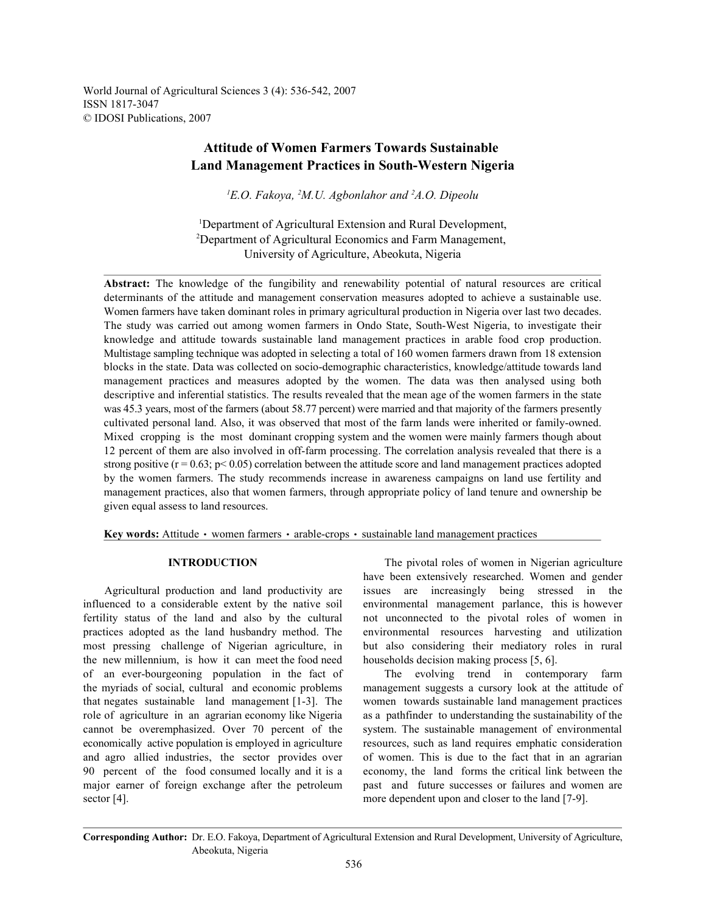World Journal of Agricultural Sciences 3 (4): 536-542, 2007 ISSN 1817-3047 © IDOSI Publications, 2007

# **Attitude of Women Farmers Towards Sustainable Land Management Practices in South-Western Nigeria**

 $E$ <sup>1</sup> $E$ *.O. Fakoya, <sup>2</sup>M.U. Agbonlahor and <sup>2</sup>A.O. Dipeolu* 

<sup>1</sup>Department of Agricultural Extension and Rural Development, Department of Agricultural Economics and Farm Management, 2 University of Agriculture, Abeokuta, Nigeria

**Abstract:** The knowledge of the fungibility and renewability potential of natural resources are critical determinants of the attitude and management conservation measures adopted to achieve a sustainable use. Women farmers have taken dominant roles in primary agricultural production in Nigeria over last two decades. The study was carried out among women farmers in Ondo State, South-West Nigeria, to investigate their knowledge and attitude towards sustainable land management practices in arable food crop production. Multistage sampling technique was adopted in selecting a total of 160 women farmers drawn from 18 extension blocks in the state. Data was collected on socio-demographic characteristics, knowledge/attitude towards land management practices and measures adopted by the women. The data was then analysed using both descriptive and inferential statistics. The results revealed that the mean age of the women farmers in the state was 45.3 years, most of the farmers (about 58.77 percent) were married and that majority of the farmers presently cultivated personal land. Also, it was observed that most of the farm lands were inherited or family-owned. Mixed cropping is the most dominant cropping system and the women were mainly farmers though about 12 percent of them are also involved in off-farm processing. The correlation analysis revealed that there is a strong positive ( $r = 0.63$ ;  $p < 0.05$ ) correlation between the attitude score and land management practices adopted by the women farmers. The study recommends increase in awareness campaigns on land use fertility and management practices, also that women farmers, through appropriate policy of land tenure and ownership be given equal assess to land resources.

**Key words:** Attitude • women farmers • arable-crops • sustainable land management practices

influenced to a considerable extent by the native soil environmental management parlance, this is however fertility status of the land and also by the cultural not unconnected to the pivotal roles of women in practices adopted as the land husbandry method. The environmental resources harvesting and utilization most pressing challenge of Nigerian agriculture, in but also considering their mediatory roles in rural the new millennium, is how it can meet the food need households decision making process [5, 6]. of an ever-bourgeoning population in the fact of The evolving trend in contemporary farm the myriads of social, cultural and economic problems management suggests a cursory look at the attitude of that negates sustainable land management [1-3]. The women towards sustainable land management practices role of agriculture in an agrarian economy like Nigeria as a pathfinder to understanding the sustainability of the cannot be overemphasized. Over 70 percent of the system. The sustainable management of environmental economically active population is employed in agriculture resources, such as land requires emphatic consideration and agro allied industries, the sector provides over of women. This is due to the fact that in an agrarian 90 percent of the food consumed locally and it is a economy, the land forms the critical link between the major earner of foreign exchange after the petroleum past and future successes or failures and women are sector [4]. more dependent upon and closer to the land [7-9].

**INTRODUCTION** The pivotal roles of women in Nigerian agriculture Agricultural production and land productivity are issues are increasingly being stressed in the have been extensively researched. Women and gender

**Corresponding Author:** Dr. E.O. Fakoya, Department of Agricultural Extension and Rural Development, University of Agriculture, Abeokuta, Nigeria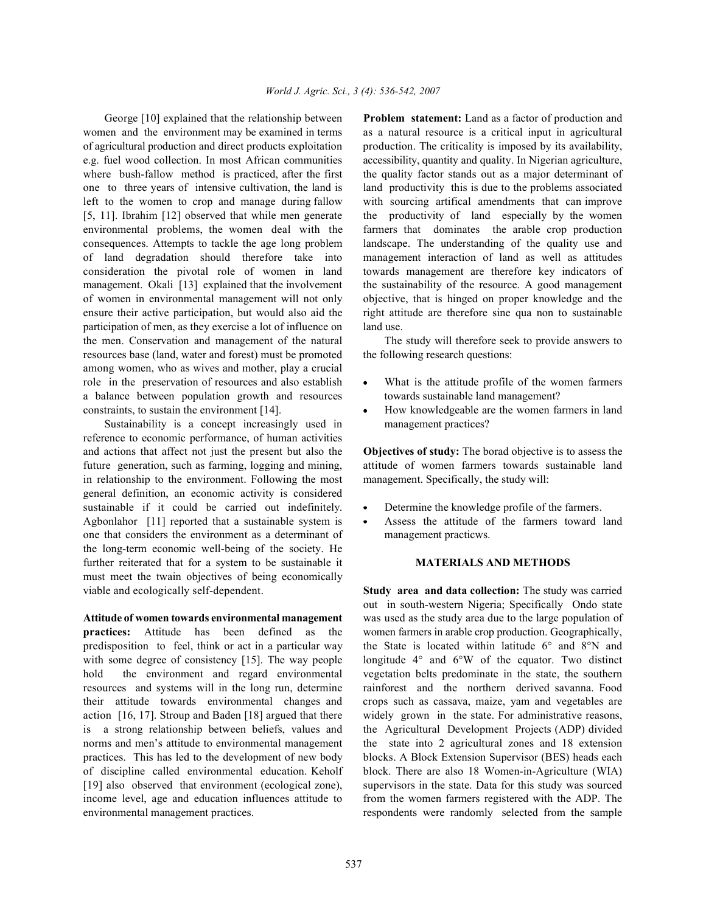women and the environment may be examined in terms as a natural resource is a critical input in agricultural of agricultural production and direct products exploitation production. The criticality is imposed by its availability, e.g. fuel wood collection. In most African communities accessibility, quantity and quality. In Nigerian agriculture, where bush-fallow method is practiced, after the first the quality factor stands out as a major determinant of one to three years of intensive cultivation, the land is land productivity this is due to the problems associated left to the women to crop and manage during fallow with sourcing artifical amendments that can improve [5, 11]. Ibrahim [12] observed that while men generate the productivity of land especially by the women environmental problems, the women deal with the farmers that dominates the arable crop production consequences. Attempts to tackle the age long problem landscape. The understanding of the quality use and of land degradation should therefore take into management interaction of land as well as attitudes consideration the pivotal role of women in land towards management are therefore key indicators of management. Okali [13] explained that the involvement the sustainability of the resource. A good management of women in environmental management will not only objective, that is hinged on proper knowledge and the ensure their active participation, but would also aid the right attitude are therefore sine qua non to sustainable participation of men, as they exercise a lot of influence on land use. the men. Conservation and management of the natural The study will therefore seek to provide answers to resources base (land, water and forest) must be promoted the following research questions: among women, who as wives and mother, play a crucial role in the preservation of resources and also establish • What is the attitude profile of the women farmers a balance between population growth and resources towards sustainable land management? constraints, to sustain the environment [14]. <br>How knowledgeable are the women farmers in land

Sustainability is a concept increasingly used in management practices? reference to economic performance, of human activities and actions that affect not just the present but also the **Objectives of study:** The borad objective is to assess the future generation, such as farming, logging and mining, attitude of women farmers towards sustainable land in relationship to the environment. Following the most management. Specifically, the study will: general definition, an economic activity is considered sustainable if it could be carried out indefinitely. • Determine the knowledge profile of the farmers. Agbonlahor [11] reported that a sustainable system is • Assess the attitude of the farmers toward land one that considers the environment as a determinant of management practicws. the long-term economic well-being of the society. He further reiterated that for a system to be sustainable it **MATERIALS AND METHODS** must meet the twain objectives of being economically viable and ecologically self-dependent. **Study area and data collection:** The study was carried

**Attitude of women towards environmental management** was used as the study area due to the large population of **practices:** Attitude has been defined as the women farmers in arable crop production. Geographically, predisposition to feel, think or act in a particular way the State is located within latitude 6° and 8°N and with some degree of consistency [15]. The way people longitude 4° and 6°W of the equator. Two distinct hold the environment and regard environmental vegetation belts predominate in the state, the southern resources and systems will in the long run, determine rainforest and the northern derived savanna. Food their attitude towards environmental changes and crops such as cassava, maize, yam and vegetables are action [16, 17]. Stroup and Baden [18] argued that there widely grown in the state. For administrative reasons, is a strong relationship between beliefs, values and the Agricultural Development Projects (ADP) divided norms and men's attitude to environmental management the state into 2 agricultural zones and 18 extension practices. This has led to the development of new body blocks. A Block Extension Supervisor (BES) heads each of discipline called environmental education. Keholf block. There are also 18 Women-in-Agriculture (WIA) [19] also observed that environment (ecological zone), supervisors in the state. Data for this study was sourced income level, age and education influences attitude to from the women farmers registered with the ADP. The environmental management practices. The respondents were randomly selected from the sample

George [10] explained that the relationship between **Problem statement:** Land as a factor of production and

- 
- 

- 
- 

out in south-western Nigeria; Specifically Ondo state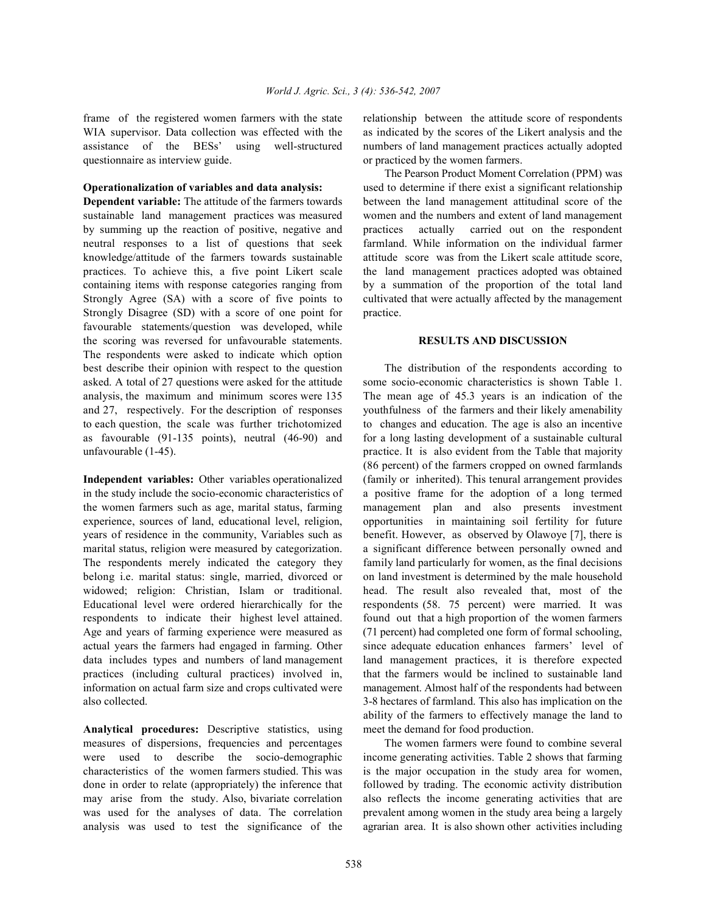WIA supervisor. Data collection was effected with the as indicated by the scores of the Likert analysis and the assistance of the BESs' using well-structured numbers of land management practices actually adopted questionnaire as interview guide.  $\blacksquare$  or practiced by the women farmers.

sustainable land management practices was measured women and the numbers and extent of land management by summing up the reaction of positive, negative and practices actually carried out on the respondent neutral responses to a list of questions that seek farmland. While information on the individual farmer knowledge/attitude of the farmers towards sustainable attitude score was from the Likert scale attitude score, practices. To achieve this, a five point Likert scale the land management practices adopted was obtained containing items with response categories ranging from by a summation of the proportion of the total land Strongly Agree (SA) with a score of five points to cultivated that were actually affected by the management Strongly Disagree (SD) with a score of one point for practice. favourable statements/question was developed, while the scoring was reversed for unfavourable statements. **RESULTS AND DISCUSSION** The respondents were asked to indicate which option best describe their opinion with respect to the question The distribution of the respondents according to asked. A total of 27 questions were asked for the attitude some socio-economic characteristics is shown Table 1. analysis, the maximum and minimum scores were 135 The mean age of 45.3 years is an indication of the and 27, respectively. For the description of responses youthfulness of the farmers and their likely amenability to each question, the scale was further trichotomized to changes and education. The age is also an incentive as favourable (91-135 points), neutral (46-90) and for a long lasting development of a sustainable cultural unfavourable (1-45). practice. It is also evident from the Table that majority

in the study include the socio-economic characteristics of a positive frame for the adoption of a long termed the women farmers such as age, marital status, farming management plan and also presents investment experience, sources of land, educational level, religion, opportunities in maintaining soil fertility for future years of residence in the community, Variables such as benefit. However, as observed by Olawoye [7], there is marital status, religion were measured by categorization. a significant difference between personally owned and The respondents merely indicated the category they family land particularly for women, as the final decisions belong i.e. marital status: single, married, divorced or on land investment is determined by the male household widowed; religion: Christian, Islam or traditional. head. The result also revealed that, most of the Educational level were ordered hierarchically for the respondents (58. 75 percent) were married. It was respondents to indicate their highest level attained. found out that a high proportion of the women farmers Age and years of farming experience were measured as (71 percent) had completed one form of formal schooling, actual years the farmers had engaged in farming. Other since adequate education enhances farmers' level of data includes types and numbers of land management land management practices, it is therefore expected practices (including cultural practices) involved in, that the farmers would be inclined to sustainable land information on actual farm size and crops cultivated were management. Almost half of the respondents had between also collected. 3-8 hectares of farmland. This also has implication on the

**Analytical procedures:** Descriptive statistics, using meet the demand for food production. measures of dispersions, frequencies and percentages The women farmers were found to combine several were used to describe the socio-demographic income generating activities. Table 2 shows that farming characteristics of the women farmers studied. This was is the major occupation in the study area for women, done in order to relate (appropriately) the inference that followed by trading. The economic activity distribution may arise from the study. Also, bivariate correlation also reflects the income generating activities that are was used for the analyses of data. The correlation prevalent among women in the study area being a largely analysis was used to test the significance of the agrarian area. It is also shown other activities including

frame of the registered women farmers with the state relationship between the attitude score of respondents

**Operationalization of variables and data analysis:** used to determine if there exist a significant relationship **Dependent variable:** The attitude of the farmers towards between the land management attitudinal score of the The Pearson Product Moment Correlation (PPM) was

**Independent variables:** Other variables operationalized (family or inherited). This tenural arrangement provides (86 percent) of the farmers cropped on owned farmlands ability of the farmers to effectively manage the land to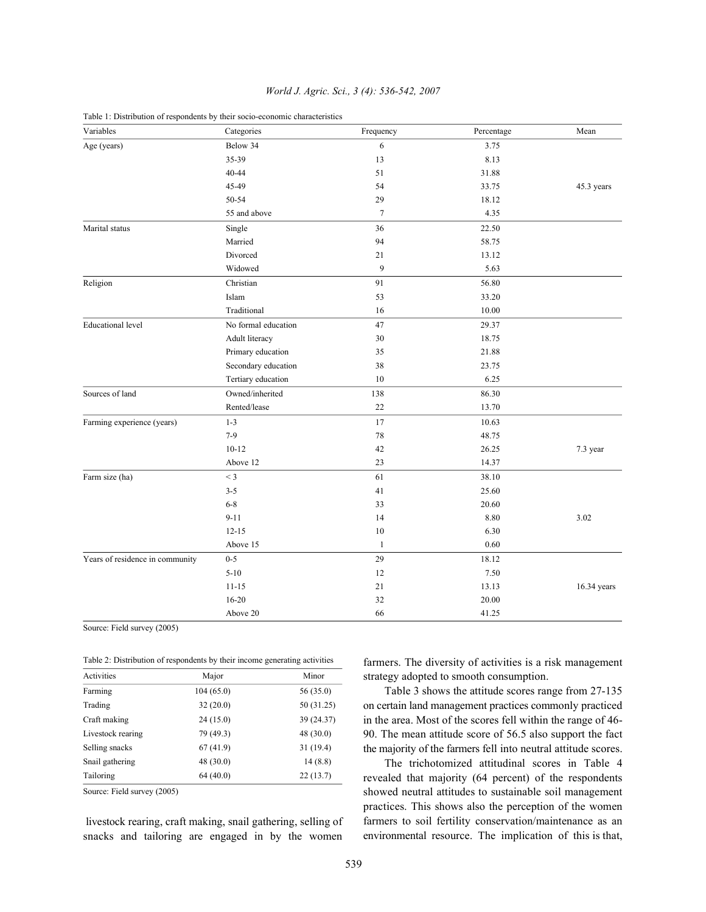| Variables                       | Categories          | Frequency | Percentage | Mean        |
|---------------------------------|---------------------|-----------|------------|-------------|
| Age (years)                     | Below 34            | 6         | 3.75       |             |
|                                 | 35-39               | 13        | 8.13       |             |
|                                 | 40-44               | 51        | 31.88      |             |
|                                 | 45-49               | 54        | 33.75      | 45.3 years  |
|                                 | 50-54               | 29        | 18.12      |             |
|                                 | 55 and above        | $\tau$    | 4.35       |             |
| Marital status                  | Single              | 36        | 22.50      |             |
|                                 | Married             | 94        | 58.75      |             |
|                                 | Divorced            | 21        | 13.12      |             |
|                                 | Widowed             | 9         | 5.63       |             |
| Religion                        | Christian           | 91        | 56.80      |             |
|                                 | Islam               | 53        | 33.20      |             |
|                                 | Traditional         | 16        | 10.00      |             |
| <b>Educational level</b>        | No formal education | 47        | 29.37      |             |
|                                 | Adult literacy      | 30        | 18.75      |             |
|                                 | Primary education   | 35        | 21.88      |             |
|                                 | Secondary education | 38        | 23.75      |             |
|                                 | Tertiary education  | 10        | 6.25       |             |
| Sources of land                 | Owned/inherited     | 138       | 86.30      |             |
|                                 | Rented/lease        | 22        | 13.70      |             |
| Farming experience (years)      | $1 - 3$             | 17        | 10.63      |             |
|                                 | $7 - 9$             | $78\,$    | 48.75      |             |
|                                 | $10-12$             | 42        | 26.25      | 7.3 year    |
|                                 | Above 12            | 23        | 14.37      |             |
| Farm size (ha)                  | $<$ 3               | 61        | 38.10      |             |
|                                 | $3 - 5$             | 41        | 25.60      |             |
|                                 | $6 - 8$             | 33        | 20.60      |             |
|                                 | $9 - 11$            | 14        | 8.80       | 3.02        |
|                                 | $12 - 15$           | 10        | 6.30       |             |
|                                 | Above 15            | 1         | 0.60       |             |
| Years of residence in community | $0 - 5$             | 29        | 18.12      |             |
|                                 | $5 - 10$            | 12        | 7.50       |             |
|                                 | $11 - 15$           | 21        | 13.13      | 16.34 years |
|                                 | 16-20               | 32        | 20.00      |             |
|                                 | Above 20            | 66        | 41.25      |             |

## *World J. Agric. Sci., 3 (4): 536-542, 2007*

Table 1: Distribution of respondents by their socio-economic characteristics

Source: Field survey (2005)

| Table 2: Distribution of respondents by their income generating activities |  |  |
|----------------------------------------------------------------------------|--|--|
|----------------------------------------------------------------------------|--|--|

| Activities        | Major      | Minor      |  |
|-------------------|------------|------------|--|
| Farming           | 104 (65.0) | 56 (35.0)  |  |
| Trading           | 32(20.0)   | 50 (31.25) |  |
| Craft making      | 24(15.0)   | 39 (24.37) |  |
| Livestock rearing | 79 (49.3)  | 48 (30.0)  |  |
| Selling snacks    | 67(41.9)   | 31(19.4)   |  |
| Snail gathering   | 48(30.0)   | 14(8.8)    |  |
| Tailoring         | 64(40.0)   | 22(13.7)   |  |

Source: Field survey (2005)

 livestock rearing, craft making, snail gathering, selling of snacks and tailoring are engaged in by the women farmers. The diversity of activities is a risk management strategy adopted to smooth consumption.

Table 3 shows the attitude scores range from 27-135 on certain land management practices commonly practiced in the area. Most of the scores fell within the range of 46- 90. The mean attitude score of 56.5 also support the fact the majority of the farmers fell into neutral attitude scores.

The trichotomized attitudinal scores in Table 4 revealed that majority (64 percent) of the respondents showed neutral attitudes to sustainable soil management practices. This shows also the perception of the women farmers to soil fertility conservation/maintenance as an environmental resource. The implication of this is that,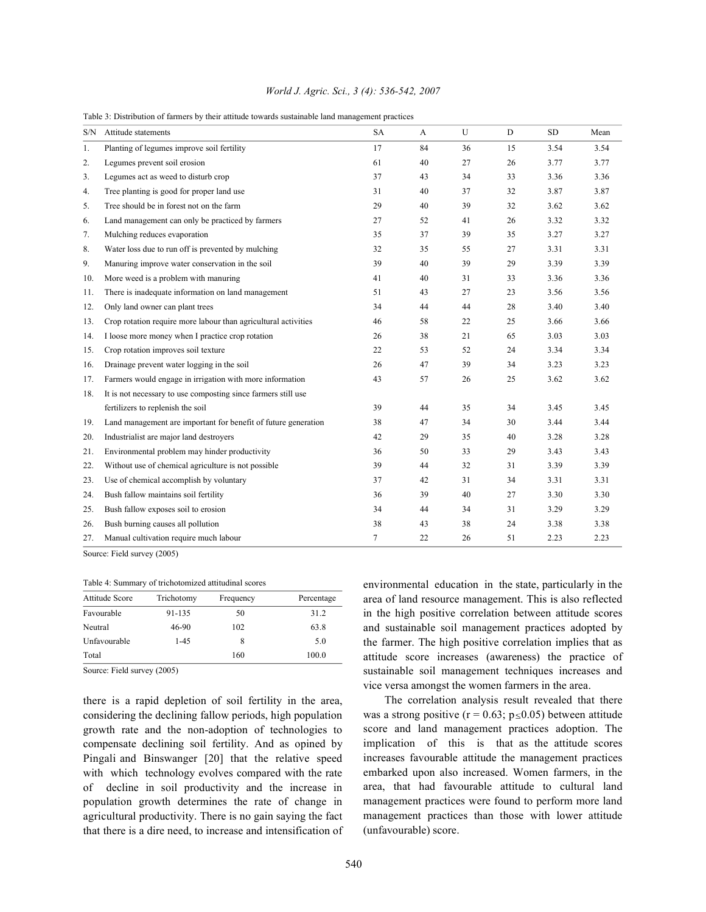### *World J. Agric. Sci., 3 (4): 536-542, 2007*

|  |  |  | Table 3: Distribution of farmers by their attitude towards sustainable land management practices |  |
|--|--|--|--------------------------------------------------------------------------------------------------|--|
|  |  |  |                                                                                                  |  |

| S/N | Attitude statements                                            | <b>SA</b> | A  | U  | D  | <b>SD</b> | Mean |
|-----|----------------------------------------------------------------|-----------|----|----|----|-----------|------|
| 1.  | Planting of legumes improve soil fertility                     | 17        | 84 | 36 | 15 | 3.54      | 3.54 |
| 2.  | Legumes prevent soil erosion                                   | 61        | 40 | 27 | 26 | 3.77      | 3.77 |
| 3.  | Legumes act as weed to disturb crop                            | 37        | 43 | 34 | 33 | 3.36      | 3.36 |
| 4.  | Tree planting is good for proper land use                      | 31        | 40 | 37 | 32 | 3.87      | 3.87 |
| 5.  | Tree should be in forest not on the farm                       | 29        | 40 | 39 | 32 | 3.62      | 3.62 |
| 6.  | Land management can only be practiced by farmers               | 27        | 52 | 41 | 26 | 3.32      | 3.32 |
| 7.  | Mulching reduces evaporation                                   | 35        | 37 | 39 | 35 | 3.27      | 3.27 |
| 8.  | Water loss due to run off is prevented by mulching             | 32        | 35 | 55 | 27 | 3.31      | 3.31 |
| 9.  | Manuring improve water conservation in the soil                | 39        | 40 | 39 | 29 | 3.39      | 3.39 |
| 10. | More weed is a problem with manuring                           | 41        | 40 | 31 | 33 | 3.36      | 3.36 |
| 11. | There is inadequate information on land management             | 51        | 43 | 27 | 23 | 3.56      | 3.56 |
| 12. | Only land owner can plant trees                                | 34        | 44 | 44 | 28 | 3.40      | 3.40 |
| 13. | Crop rotation require more labour than agricultural activities | 46        | 58 | 22 | 25 | 3.66      | 3.66 |
| 14. | I loose more money when I practice crop rotation               | 26        | 38 | 21 | 65 | 3.03      | 3.03 |
| 15. | Crop rotation improves soil texture                            | 22        | 53 | 52 | 24 | 3.34      | 3.34 |
| 16. | Drainage prevent water logging in the soil                     | 26        | 47 | 39 | 34 | 3.23      | 3.23 |
| 17. | Farmers would engage in irrigation with more information       | 43        | 57 | 26 | 25 | 3.62      | 3.62 |
| 18. | It is not necessary to use composting since farmers still use  |           |    |    |    |           |      |
|     | fertilizers to replenish the soil                              | 39        | 44 | 35 | 34 | 3.45      | 3.45 |
| 19. | Land management are important for benefit of future generation | 38        | 47 | 34 | 30 | 3.44      | 3.44 |
| 20. | Industrialist are major land destroyers                        | 42        | 29 | 35 | 40 | 3.28      | 3.28 |
| 21. | Environmental problem may hinder productivity                  | 36        | 50 | 33 | 29 | 3.43      | 3.43 |
| 22. | Without use of chemical agriculture is not possible            | 39        | 44 | 32 | 31 | 3.39      | 3.39 |
| 23. | Use of chemical accomplish by voluntary                        | 37        | 42 | 31 | 34 | 3.31      | 3.31 |
| 24. | Bush fallow maintains soil fertility                           | 36        | 39 | 40 | 27 | 3.30      | 3.30 |
| 25. | Bush fallow exposes soil to erosion                            | 34        | 44 | 34 | 31 | 3.29      | 3.29 |
| 26. | Bush burning causes all pollution                              | 38        | 43 | 38 | 24 | 3.38      | 3.38 |
| 27. | Manual cultivation require much labour                         | 7         | 22 | 26 | 51 | 2.23      | 2.23 |

Source: Field survey (2005)

Table 4: Summary of trichotomized attitudinal scores

| Attitude Score | Trichotomy | Frequency | Percentage |  |  |  |  |
|----------------|------------|-----------|------------|--|--|--|--|
| Favourable     | 91-135     | 50        | 31.2       |  |  |  |  |
| Neutral        | 46-90      | 102       | 63.8       |  |  |  |  |
| Unfavourable   | $1 - 4.5$  | 8         | 5.0        |  |  |  |  |
| Total          |            | 160       | 100.0      |  |  |  |  |

Source: Field survey (2005)

there is a rapid depletion of soil fertility in the area, considering the declining fallow periods, high population growth rate and the non-adoption of technologies to compensate declining soil fertility. And as opined by Pingali and Binswanger [20] that the relative speed with which technology evolves compared with the rate of decline in soil productivity and the increase in population growth determines the rate of change in agricultural productivity. There is no gain saying the fact that there is a dire need, to increase and intensification of environmental education in the state, particularly in the area of land resource management. This is also reflected in the high positive correlation between attitude scores and sustainable soil management practices adopted by the farmer. The high positive correlation implies that as attitude score increases (awareness) the practice of sustainable soil management techniques increases and vice versa amongst the women farmers in the area.

The correlation analysis result revealed that there was a strong positive ( $r = 0.63$ ;  $p \le 0.05$ ) between attitude score and land management practices adoption. The implication of this is that as the attitude scores increases favourable attitude the management practices embarked upon also increased. Women farmers, in the area, that had favourable attitude to cultural land management practices were found to perform more land management practices than those with lower attitude (unfavourable) score.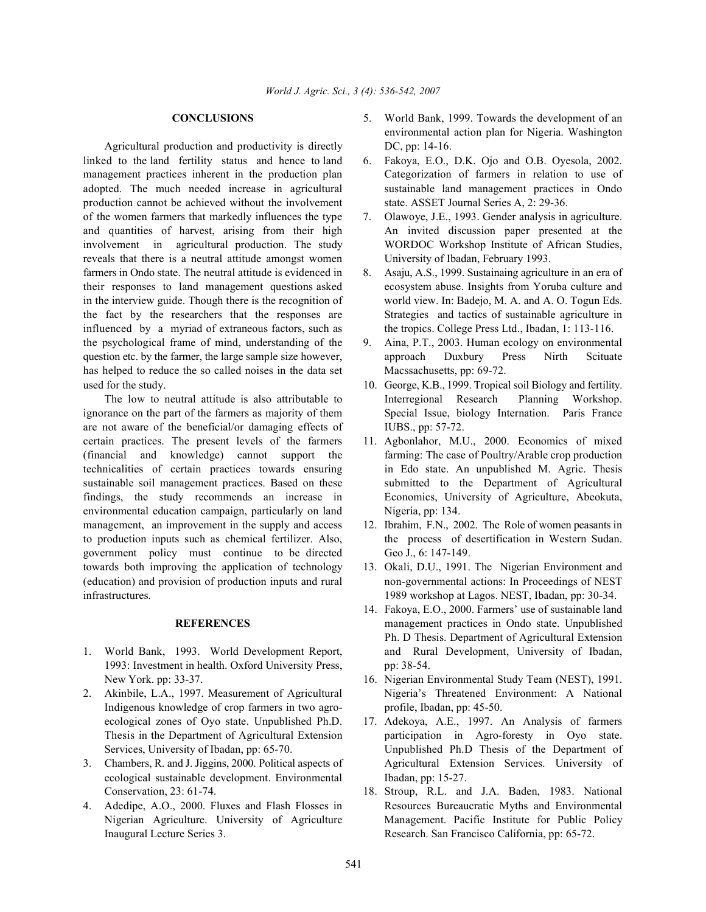Agricultural production and productivity is directly DC, pp: 14-16. linked to the land fertility status and hence to land 6. Fakoya, E.O., D.K. Ojo and O.B. Oyesola, 2002. adopted. The much needed increase in agricultural sustainable land management practices in Ondo production cannot be achieved without the involvement state. ASSET Journal Series A, 2: 29-36. of the women farmers that markedly influences the type 7. Olawoye, J.E., 1993. Gender analysis in agriculture. and quantities of harvest, arising from their high An invited discussion paper presented at the involvement in agricultural production. The study WORDOC Workshop Institute of African Studies, reveals that there is a neutral attitude amongst women University of Ibadan, February 1993. farmers in Ondo state. The neutral attitude is evidenced in 8. Asaju, A.S., 1999. Sustainaing agriculture in an era of in the interview guide. Though there is the recognition of world view. In: Badejo, M. A. and A. O. Togun Eds. influenced by a myriad of extraneous factors, such as the tropics. College Press Ltd., Ibadan, 1: 113-116. the psychological frame of mind, understanding of the 9. Aina, P.T., 2003. Human ecology on environmental question etc. by the farmer, the large sample size however, approach Duxbury Press Nirth Scituate has helped to reduce the so called noises in the data set Macssachusetts, pp: 69-72. used for the study. 10. George, K.B., 1999. Tropical soil Biology and fertility.

ignorance on the part of the farmers as majority of them Special Issue, biology Internation. Paris France are not aware of the beneficial/or damaging effects of IUBS., pp: 57-72. certain practices. The present levels of the farmers 11. Agbonlahor, M.U., 2000. Economics of mixed (financial and knowledge) cannot support the farming: The case of Poultry/Arable crop production technicalities of certain practices towards ensuring in Edo state. An unpublished M. Agric. Thesis sustainable soil management practices. Based on these submitted to the Department of Agricultural findings, the study recommends an increase in Economics, University of Agriculture, Abeokuta, environmental education campaign, particularly on land Nigeria, pp: 134. management, an improvement in the supply and access 12. Ibrahim, F.N., 2002. The Role of women peasants in to production inputs such as chemical fertilizer. Also, the process of desertification in Western Sudan. government policy must continue to be directed Geo J., 6: 147-149. towards both improving the application of technology 13. Okali, D.U., 1991. The Nigerian Environment and (education) and provision of production inputs and rural non-governmental actions: In Proceedings of NEST infrastructures. 1989 workshop at Lagos. NEST, Ibadan, pp: 30-34.

- 1. World Bank, 1993. World Development Report, and Rural Development, University of Ibadan, 1993: Investment in health. Oxford University Press, pp: 38-54.
- Indigenous knowledge of crop farmers in two agro-<br>profile, Ibadan, pp: 45-50. ecological zones of Oyo state. Unpublished Ph.D. 17. Adekoya, A.E., 1997. An Analysis of farmers
- ecological sustainable development. Environmental Ibadan, pp: 15-27.
- Inaugural Lecture Series 3. Research. San Francisco California, pp: 65-72.
- **CONCLUSIONS** 5. World Bank, 1999. Towards the development of an environmental action plan for Nigeria. Washington
- management practices inherent in the production plan Categorization of farmers in relation to use of
	-
- their responses to land management questions asked ecosystem abuse. Insights from Yoruba culture and the fact by the researchers that the responses are Strategies and tactics of sustainable agriculture in
	-
	- The low to neutral attitude is also attributable to Interregional Research Planning Workshop.
		-
		-
		-
		- **REFERENCES** management practices in Ondo state. Unpublished 14. Fakoya, E.O., 2000. Farmers' use of sustainable land Ph. D Thesis. Department of Agricultural Extension
- New York. pp: 33-37. 16. Nigerian Environmental Study Team (NEST), 1991. 2. Akinbile, L.A., 1997. Measurement of Agricultural Nigeria's Threatened Environment: A National
- Thesis in the Department of Agricultural Extension participation in Agro-foresty in Oyo state. Services, University of Ibadan, pp: 65-70. Unpublished Ph.D Thesis of the Department of 3. Chambers, R. and J. Jiggins, 2000. Political aspects of Agricultural Extension Services. University of
- Conservation, 23: 61-74. 18. Stroup, R.L. and J.A. Baden, 1983. National 4. Adedipe, A.O., 2000. Fluxes and Flash Flosses in Resources Bureaucratic Myths and Environmental Nigerian Agriculture. University of Agriculture Management. Pacific Institute for Public Policy